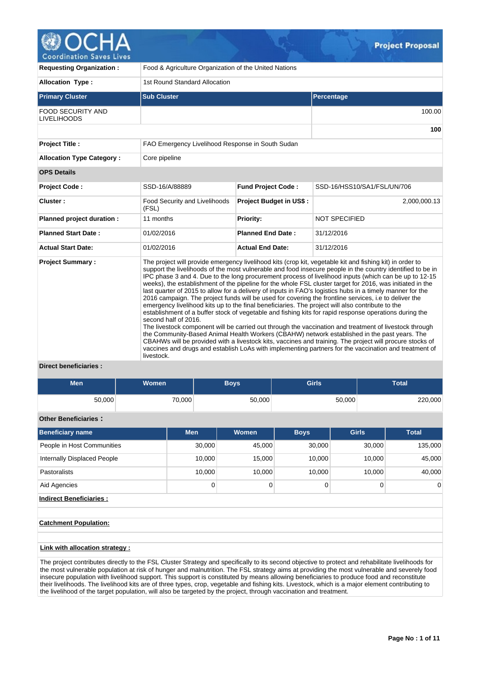

| <b>Requesting Organization:</b>                | Food & Agriculture Organization of the United Nations                                                                                                                                                                                                                                                                                                                                                                                                                                                                                                                                                                                                                                                                                                                                                                                                                                                                                                                                                                                                                                                                                                                                                                                                                                                                                                 |                                |                             |  |  |  |  |  |  |
|------------------------------------------------|-------------------------------------------------------------------------------------------------------------------------------------------------------------------------------------------------------------------------------------------------------------------------------------------------------------------------------------------------------------------------------------------------------------------------------------------------------------------------------------------------------------------------------------------------------------------------------------------------------------------------------------------------------------------------------------------------------------------------------------------------------------------------------------------------------------------------------------------------------------------------------------------------------------------------------------------------------------------------------------------------------------------------------------------------------------------------------------------------------------------------------------------------------------------------------------------------------------------------------------------------------------------------------------------------------------------------------------------------------|--------------------------------|-----------------------------|--|--|--|--|--|--|
| <b>Allocation Type:</b>                        | 1st Round Standard Allocation                                                                                                                                                                                                                                                                                                                                                                                                                                                                                                                                                                                                                                                                                                                                                                                                                                                                                                                                                                                                                                                                                                                                                                                                                                                                                                                         |                                |                             |  |  |  |  |  |  |
| <b>Primary Cluster</b>                         | <b>Sub Cluster</b>                                                                                                                                                                                                                                                                                                                                                                                                                                                                                                                                                                                                                                                                                                                                                                                                                                                                                                                                                                                                                                                                                                                                                                                                                                                                                                                                    |                                | Percentage                  |  |  |  |  |  |  |
| <b>FOOD SECURITY AND</b><br><b>LIVELIHOODS</b> |                                                                                                                                                                                                                                                                                                                                                                                                                                                                                                                                                                                                                                                                                                                                                                                                                                                                                                                                                                                                                                                                                                                                                                                                                                                                                                                                                       |                                | 100.00                      |  |  |  |  |  |  |
|                                                |                                                                                                                                                                                                                                                                                                                                                                                                                                                                                                                                                                                                                                                                                                                                                                                                                                                                                                                                                                                                                                                                                                                                                                                                                                                                                                                                                       |                                | 100                         |  |  |  |  |  |  |
| <b>Project Title:</b>                          | FAO Emergency Livelihood Response in South Sudan                                                                                                                                                                                                                                                                                                                                                                                                                                                                                                                                                                                                                                                                                                                                                                                                                                                                                                                                                                                                                                                                                                                                                                                                                                                                                                      |                                |                             |  |  |  |  |  |  |
| <b>Allocation Type Category:</b>               | Core pipeline                                                                                                                                                                                                                                                                                                                                                                                                                                                                                                                                                                                                                                                                                                                                                                                                                                                                                                                                                                                                                                                                                                                                                                                                                                                                                                                                         |                                |                             |  |  |  |  |  |  |
| <b>OPS Details</b>                             |                                                                                                                                                                                                                                                                                                                                                                                                                                                                                                                                                                                                                                                                                                                                                                                                                                                                                                                                                                                                                                                                                                                                                                                                                                                                                                                                                       |                                |                             |  |  |  |  |  |  |
| <b>Project Code:</b>                           | SSD-16/A/88889                                                                                                                                                                                                                                                                                                                                                                                                                                                                                                                                                                                                                                                                                                                                                                                                                                                                                                                                                                                                                                                                                                                                                                                                                                                                                                                                        | <b>Fund Project Code:</b>      | SSD-16/HSS10/SA1/FSL/UN/706 |  |  |  |  |  |  |
| Cluster:                                       | <b>Food Security and Livelihoods</b><br>(FSL)                                                                                                                                                                                                                                                                                                                                                                                                                                                                                                                                                                                                                                                                                                                                                                                                                                                                                                                                                                                                                                                                                                                                                                                                                                                                                                         | <b>Project Budget in US\$:</b> | 2,000,000.13                |  |  |  |  |  |  |
| Planned project duration :                     | 11 months                                                                                                                                                                                                                                                                                                                                                                                                                                                                                                                                                                                                                                                                                                                                                                                                                                                                                                                                                                                                                                                                                                                                                                                                                                                                                                                                             | Priority:                      | <b>NOT SPECIFIED</b>        |  |  |  |  |  |  |
| <b>Planned Start Date:</b>                     | 01/02/2016                                                                                                                                                                                                                                                                                                                                                                                                                                                                                                                                                                                                                                                                                                                                                                                                                                                                                                                                                                                                                                                                                                                                                                                                                                                                                                                                            | <b>Planned End Date:</b>       | 31/12/2016                  |  |  |  |  |  |  |
| <b>Actual Start Date:</b>                      | 01/02/2016                                                                                                                                                                                                                                                                                                                                                                                                                                                                                                                                                                                                                                                                                                                                                                                                                                                                                                                                                                                                                                                                                                                                                                                                                                                                                                                                            | <b>Actual End Date:</b>        | 31/12/2016                  |  |  |  |  |  |  |
| <b>Project Summary:</b>                        | The project will provide emergency livelihood kits (crop kit, vegetable kit and fishing kit) in order to<br>support the livelihoods of the most vulnerable and food insecure people in the country identified to be in<br>IPC phase 3 and 4. Due to the long procurement process of livelihood inputs (which can be up to 12-15<br>weeks), the establishment of the pipeline for the whole FSL cluster target for 2016, was initiated in the<br>last quarter of 2015 to allow for a delivery of inputs in FAO's logistics hubs in a timely manner for the<br>2016 campaign. The project funds will be used for covering the frontline services, i.e to deliver the<br>emergency livelihood kits up to the final beneficiaries. The project will also contribute to the<br>establishment of a buffer stock of vegetable and fishing kits for rapid response operations during the<br>second half of 2016.<br>The livestock component will be carried out through the vaccination and treatment of livestock through<br>the Community-Based Animal Health Workers (CBAHW) network established in the past years. The<br>CBAHWs will be provided with a livestock kits, vaccines and training. The project will procure stocks of<br>vaccines and drugs and establish LoAs with implementing partners for the vaccination and treatment of<br>livestock. |                                |                             |  |  |  |  |  |  |

# **Direct beneficiaries :**

| <b>Men</b> | <b>Women</b> | Boys'  | <b>Girls</b> | <b>Total</b> |
|------------|--------------|--------|--------------|--------------|
| 50,000     | 70,000       | 50,000 | 50,000       | 220,000      |

# **Other Beneficiaries :**

| <b>Beneficiary name</b>     | <b>Men</b> | Women  | <b>Boys</b> | <b>Girls</b> | <b>Total</b>   |
|-----------------------------|------------|--------|-------------|--------------|----------------|
| People in Host Communities  | 30.000     | 45,000 | 30,000      | 30,000       | 135,000        |
| Internally Displaced People | 10.000     | 15,000 | 10.000      | 10.000       | 45,000         |
| <b>Pastoralists</b>         | 10.000     | 10,000 | 10.000      | 10.000       | 40,000         |
| Aid Agencies                | 0          |        |             |              | $\overline{0}$ |

# **Indirect Beneficiaries :**

# **Catchment Population:**

## **Link with allocation strategy :**

The project contributes directly to the FSL Cluster Strategy and specifically to its second objective to protect and rehabilitate livelihoods for the most vulnerable population at risk of hunger and malnutrition. The FSL strategy aims at providing the most vulnerable and severely food insecure population with livelihood support. This support is constituted by means allowing beneficiaries to produce food and reconstitute their livelihoods. The livelihood kits are of three types, crop, vegetable and fishing kits. Livestock, which is a major element contributing to the livelihood of the target population, will also be targeted by the project, through vaccination and treatment.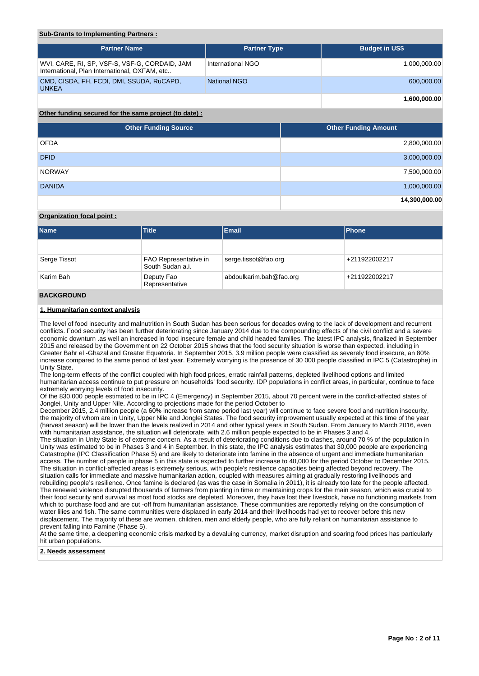# **Sub-Grants to Implementing Partners :**

| <b>Partner Name</b>                                                                            | <b>Partner Type</b> | <b>Budget in US\$</b> |
|------------------------------------------------------------------------------------------------|---------------------|-----------------------|
| WVI, CARE, RI, SP, VSF-S, VSF-G, CORDAID, JAM<br>International, Plan International, OXFAM, etc | International NGO   | 1.000.000.00          |
| CMD, CISDA, FH, FCDI, DMI, SSUDA, RuCAPD,<br><b>UNKEA</b>                                      | National NGO        | 600,000.00            |
|                                                                                                |                     | 1.600.000.00          |

# **Other funding secured for the same project (to date) :**

| <b>Other Funding Source</b> | <b>Other Funding Amount</b> |
|-----------------------------|-----------------------------|
| <b>OFDA</b>                 | 2,800,000.00                |
| <b>DFID</b>                 | 3,000,000.00                |
| <b>NORWAY</b>               | 7,500,000.00                |
| <b>DANIDA</b>               | 1,000,000.00                |
|                             | 14,300,000.00               |

## **Organization focal point :**

| <b>Name</b>         | <b>Title</b><br><b>Email</b>                            |                      |               |  |
|---------------------|---------------------------------------------------------|----------------------|---------------|--|
|                     |                                                         |                      |               |  |
| Serge Tissot        | FAO Representative in<br>South Sudan a.i.               | serge.tissot@fao.org | +211922002217 |  |
| Karim Bah           | abdoulkarim.bah@fao.org<br>Deputy Fao<br>Representative |                      | +211922002217 |  |
| <b>BAAILABAILLE</b> |                                                         |                      |               |  |

### **BACKGROUND**

## **1. Humanitarian context analysis**

The level of food insecurity and malnutrition in South Sudan has been serious for decades owing to the lack of development and recurrent conflicts. Food security has been further deteriorating since January 2014 due to the compounding effects of the civil conflict and a severe economic downturn .as well an increased in food insecure female and child headed families. The latest IPC analysis, finalized in September 2015 and released by the Government on 22 October 2015 shows that the food security situation is worse than expected, including in Greater Bahr el -Ghazal and Greater Equatoria. In September 2015, 3.9 million people were classified as severely food insecure, an 80% increase compared to the same period of last year. Extremely worrying is the presence of 30 000 people classified in IPC 5 (Catastrophe) in Unity State.

The long-term effects of the conflict coupled with high food prices, erratic rainfall patterns, depleted livelihood options and limited humanitarian access continue to put pressure on households' food security. IDP populations in conflict areas, in particular, continue to face extremely worrying levels of food insecurity.

Of the 830,000 people estimated to be in IPC 4 (Emergency) in September 2015, about 70 percent were in the conflict-affected states of Jonglei, Unity and Upper Nile. According to projections made for the period October to

December 2015, 2.4 million people (a 60% increase from same period last year) will continue to face severe food and nutrition insecurity, the majority of whom are in Unity, Upper Nile and Jonglei States. The food security improvement usually expected at this time of the year (harvest season) will be lower than the levels realized in 2014 and other typical years in South Sudan. From January to March 2016, even with humanitarian assistance, the situation will deteriorate, with 2.6 million people expected to be in Phases 3 and 4.

The situation in Unity State is of extreme concern. As a result of deteriorating conditions due to clashes, around 70 % of the population in Unity was estimated to be in Phases 3 and 4 in September. In this state, the IPC analysis estimates that 30,000 people are experiencing Catastrophe (IPC Classification Phase 5) and are likely to deteriorate into famine in the absence of urgent and immediate humanitarian access. The number of people in phase 5 in this state is expected to further increase to 40,000 for the period October to December 2015. The situation in conflict-affected areas is extremely serious, with people's resilience capacities being affected beyond recovery. The situation calls for immediate and massive humanitarian action, coupled with measures aiming at gradually restoring livelihoods and rebuilding people's resilience. Once famine is declared (as was the case in Somalia in 2011), it is already too late for the people affected. The renewed violence disrupted thousands of farmers from planting in time or maintaining crops for the main season, which was crucial to their food security and survival as most food stocks are depleted. Moreover, they have lost their livestock, have no functioning markets from which to purchase food and are cut -off from humanitarian assistance. These communities are reportedly relying on the consumption of water lilies and fish. The same communities were displaced in early 2014 and their livelihoods had yet to recover before this new displacement. The majority of these are women, children, men and elderly people, who are fully reliant on humanitarian assistance to prevent falling into Famine (Phase 5).

At the same time, a deepening economic crisis marked by a devaluing currency, market disruption and soaring food prices has particularly hit urban populations.

## **2. Needs assessment**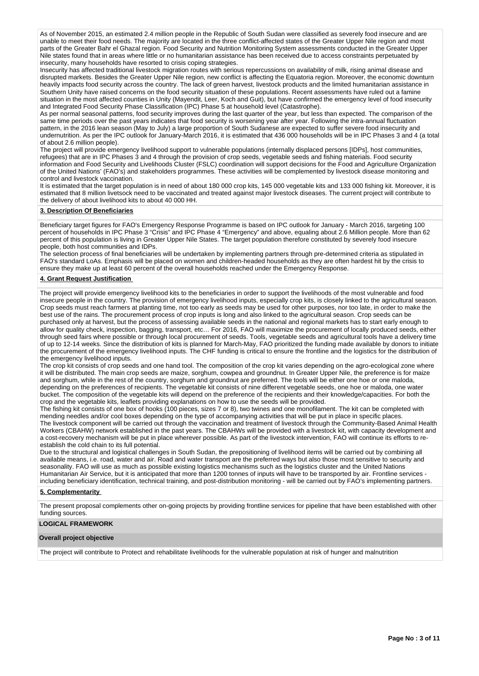As of November 2015, an estimated 2.4 million people in the Republic of South Sudan were classified as severely food insecure and are unable to meet their food needs. The majority are located in the three conflict-affected states of the Greater Upper Nile region and most parts of the Greater Bahr el Ghazal region. Food Security and Nutrition Monitoring System assessments conducted in the Greater Upper Nile states found that in areas where little or no humanitarian assistance has been received due to access constraints perpetuated by insecurity, many households have resorted to crisis coping strategies.

Insecurity has affected traditional livestock migration routes with serious repercussions on availability of milk, rising animal disease and disrupted markets. Besides the Greater Upper Nile region, new conflict is affecting the Equatoria region. Moreover, the economic downturn heavily impacts food security across the country. The lack of green harvest, livestock products and the limited humanitarian assistance in Southern Unity have raised concerns on the food security situation of these populations. Recent assessments have ruled out a famine situation in the most affected counties in Unity (Mayendit, Leer, Koch and Guit), but have confirmed the emergency level of food insecurity and Integrated Food Security Phase Classification (IPC) Phase 5 at household level (Catastrophe).

As per normal seasonal patterns, food security improves during the last quarter of the year, but less than expected. The comparison of the same time periods over the past years indicates that food security is worsening year after year. Following the intra-annual fluctuation pattern, in the 2016 lean season (May to July) a large proportion of South Sudanese are expected to suffer severe food insecurity and undernutrition. As per the IPC outlook for January-March 2016, it is estimated that 436 000 households will be in IPC Phases 3 and 4 (a total of about 2.6 million people).

The project will provide emergency livelihood support to vulnerable populations (internally displaced persons [IDPs], host communities, refugees) that are in IPC Phases 3 and 4 through the provision of crop seeds, vegetable seeds and fishing materials. Food security information and Food Security and Livelihoods Cluster (FSLC) coordination will support decisions for the Food and Agriculture Organization of the United Nations' (FAO's) and stakeholders programmes. These activities will be complemented by livestock disease monitoring and control and livestock vaccination.

It is estimated that the target population is in need of about 180 000 crop kits, 145 000 vegetable kits and 133 000 fishing kit. Moreover, it is estimated that 8 million livetsock need to be vaccinated and treated against major livestock diseases. The current project will contribute to the delivery of about livelihood kits to about 40 000 HH.

## **3. Description Of Beneficiaries**

Beneficiary target figures for FAO's Emergency Response Programme is based on IPC outlook for January - March 2016, targeting 100 percent of households in IPC Phase 3 "Crisis" and IPC Phase 4 "Emergency" and above, equaling about 2.6 Million people. More than 62 percent of this population is living in Greater Upper Nile States. The target population therefore constituted by severely food insecure people, both host communities and IDPs.

The selection process of final beneficiaries will be undertaken by implementing partners through pre-determined criteria as stipulated in FAO's standard LoAs. Emphasis will be placed on women and children-headed households as they are often hardest hit by the crisis to ensure they make up at least 60 percent of the overall households reached under the Emergency Response.

## **4. Grant Request Justification**

The project will provide emergency livelihood kits to the beneficiaries in order to support the livelihoods of the most vulnerable and food insecure people in the country. The provision of emergency livelihood inputs, especially crop kits, is closely linked to the agricultural season. Crop seeds must reach farmers at planting time, not too early as seeds may be used for other purposes, nor too late, in order to make the best use of the rains. The procurement process of crop inputs is long and also linked to the agricultural season. Crop seeds can be purchased only at harvest, but the process of assessing available seeds in the national and regional markets has to start early enough to allow for quality check, inspection, bagging, transport, etc… For 2016, FAO will maximize the procurement of locally produced seeds, either through seed fairs where possible or through local procurement of seeds. Tools, vegetable seeds and agricultural tools have a delivery time of up to 12-14 weeks. Since the distribution of kits is planned for March-May, FAO prioritized the funding made available by donors to initiate the procurement of the emergency livelihood inputs. The CHF funding is critical to ensure the frontline and the logistics for the distribution of the emergency livelihood inputs.

The crop kit consists of crop seeds and one hand tool. The composition of the crop kit varies depending on the agro-ecological zone where it will be distributed. The main crop seeds are maize, sorghum, cowpea and groundnut. In Greater Upper Nile, the preference is for maize and sorghum, while in the rest of the country, sorghum and groundnut are preferred. The tools will be either one hoe or one maloda, depending on the preferences of recipients. The vegetable kit consists of nine different vegetable seeds, one hoe or maloda, one water bucket. The composition of the vegetable kits will depend on the preference of the recipients and their knowledge/capacities. For both the crop and the vegetable kits, leaflets providing explanations on how to use the seeds will be provided.

The fishing kit consists of one box of hooks (100 pieces, sizes 7 or 8), two twines and one monofilament. The kit can be completed with mending needles and/or cool boxes depending on the type of accompanying activities that will be put in place in specific places. The livestock component will be carried out through the vaccination and treatment of livestock through the Community-Based Animal Health Workers (CBAHW) network established in the past years. The CBAHWs will be provided with a livestock kit, with capacity development and a cost-recovery mechanism will be put in place wherever possible. As part of the livestock intervention, FAO will continue its efforts to reestablish the cold chain to its full potential.

Due to the structural and logistical challenges in South Sudan, the prepositioning of livelihood items will be carried out by combining all available means, i.e. road, water and air. Road and water transport are the preferred ways but also those most sensitive to security and seasonality. FAO will use as much as possible existing logistics mechanisms such as the logistics cluster and the United Nations Humanitarian Air Service, but it is anticipated that more than 1200 tonnes of inputs will have to be transported by air. Frontline services including beneficiary identification, technical training, and post-distribution monitoring - will be carried out by FAO's implementing partners.

### **5. Complementarity**

The present proposal complements other on-going projects by providing frontline services for pipeline that have been established with other funding sources.

## **LOGICAL FRAMEWORK**

## **Overall project objective**

The project will contribute to Protect and rehabilitate livelihoods for the vulnerable population at risk of hunger and malnutrition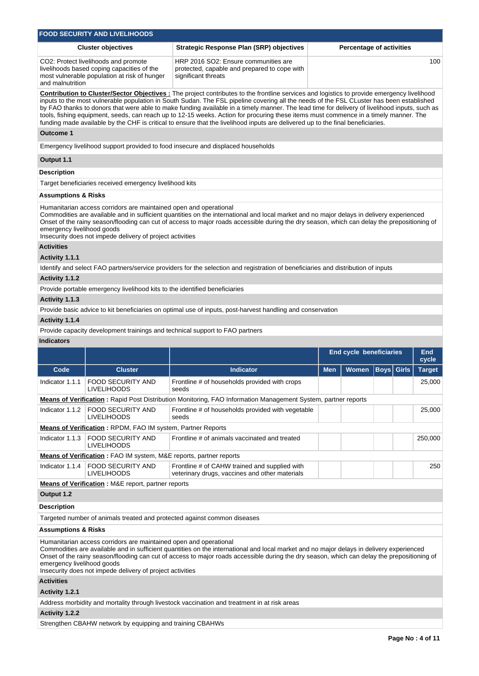|                                                                                                                                                                                                                                                                                                                                                                                                                                                                                                                                                                                                                                                                                                                    | <b>FOOD SECURITY AND LIVELIHOODS</b>                                                                                               |                                                                                                                                                                                                                                                                                         |                                                |                                 |             |              |               |  |  |  |  |
|--------------------------------------------------------------------------------------------------------------------------------------------------------------------------------------------------------------------------------------------------------------------------------------------------------------------------------------------------------------------------------------------------------------------------------------------------------------------------------------------------------------------------------------------------------------------------------------------------------------------------------------------------------------------------------------------------------------------|------------------------------------------------------------------------------------------------------------------------------------|-----------------------------------------------------------------------------------------------------------------------------------------------------------------------------------------------------------------------------------------------------------------------------------------|------------------------------------------------|---------------------------------|-------------|--------------|---------------|--|--|--|--|
|                                                                                                                                                                                                                                                                                                                                                                                                                                                                                                                                                                                                                                                                                                                    | <b>Cluster objectives</b>                                                                                                          | <b>Strategic Response Plan (SRP) objectives</b>                                                                                                                                                                                                                                         |                                                | <b>Percentage of activities</b> |             |              |               |  |  |  |  |
| and malnutrition                                                                                                                                                                                                                                                                                                                                                                                                                                                                                                                                                                                                                                                                                                   | CO2: Protect livelihoods and promote<br>livelihoods based coping capacities of the<br>most vulnerable population at risk of hunger | HRP 2016 SO2: Ensure communities are<br>protected, capable and prepared to cope with<br>significant threats                                                                                                                                                                             | 100                                            |                                 |             |              |               |  |  |  |  |
| Contribution to Cluster/Sector Objectives: The project contributes to the frontline services and logistics to provide emergency livelihood<br>inputs to the most vulnerable population in South Sudan. The FSL pipeline covering all the needs of the FSL CLuster has been established<br>by FAO thanks to donors that were able to make funding available in a timely manner. The lead time for delivery of livelihood inputs, such as<br>tools, fishing equipment, seeds, can reach up to 12-15 weeks. Action for procuring these items must commence in a timely manner. The<br>funding made available by the CHF is critical to ensure that the livelihood inputs are delivered up to the final beneficiaries. |                                                                                                                                    |                                                                                                                                                                                                                                                                                         |                                                |                                 |             |              |               |  |  |  |  |
| <b>Outcome 1</b>                                                                                                                                                                                                                                                                                                                                                                                                                                                                                                                                                                                                                                                                                                   |                                                                                                                                    |                                                                                                                                                                                                                                                                                         |                                                |                                 |             |              |               |  |  |  |  |
|                                                                                                                                                                                                                                                                                                                                                                                                                                                                                                                                                                                                                                                                                                                    |                                                                                                                                    | Emergency livelihood support provided to food insecure and displaced households                                                                                                                                                                                                         |                                                |                                 |             |              |               |  |  |  |  |
| Output 1.1                                                                                                                                                                                                                                                                                                                                                                                                                                                                                                                                                                                                                                                                                                         |                                                                                                                                    |                                                                                                                                                                                                                                                                                         |                                                |                                 |             |              |               |  |  |  |  |
| <b>Description</b>                                                                                                                                                                                                                                                                                                                                                                                                                                                                                                                                                                                                                                                                                                 |                                                                                                                                    |                                                                                                                                                                                                                                                                                         |                                                |                                 |             |              |               |  |  |  |  |
|                                                                                                                                                                                                                                                                                                                                                                                                                                                                                                                                                                                                                                                                                                                    | Target beneficiaries received emergency livelihood kits                                                                            |                                                                                                                                                                                                                                                                                         |                                                |                                 |             |              |               |  |  |  |  |
| <b>Assumptions &amp; Risks</b>                                                                                                                                                                                                                                                                                                                                                                                                                                                                                                                                                                                                                                                                                     |                                                                                                                                    |                                                                                                                                                                                                                                                                                         |                                                |                                 |             |              |               |  |  |  |  |
| emergency livelihood goods                                                                                                                                                                                                                                                                                                                                                                                                                                                                                                                                                                                                                                                                                         | Humanitarian access corridors are maintained open and operational<br>Insecurity does not impede delivery of project activities     | Commodities are available and in sufficient quantities on the international and local market and no major delays in delivery experienced<br>Onset of the rainy season/flooding can cut of access to major roads accessible during the dry season, which can delay the prepositioning of |                                                |                                 |             |              |               |  |  |  |  |
| <b>Activities</b>                                                                                                                                                                                                                                                                                                                                                                                                                                                                                                                                                                                                                                                                                                  |                                                                                                                                    |                                                                                                                                                                                                                                                                                         |                                                |                                 |             |              |               |  |  |  |  |
| Activity 1.1.1                                                                                                                                                                                                                                                                                                                                                                                                                                                                                                                                                                                                                                                                                                     |                                                                                                                                    |                                                                                                                                                                                                                                                                                         |                                                |                                 |             |              |               |  |  |  |  |
|                                                                                                                                                                                                                                                                                                                                                                                                                                                                                                                                                                                                                                                                                                                    |                                                                                                                                    | Identify and select FAO partners/service providers for the selection and registration of beneficiaries and distribution of inputs                                                                                                                                                       |                                                |                                 |             |              |               |  |  |  |  |
| Activity 1.1.2                                                                                                                                                                                                                                                                                                                                                                                                                                                                                                                                                                                                                                                                                                     |                                                                                                                                    |                                                                                                                                                                                                                                                                                         |                                                |                                 |             |              |               |  |  |  |  |
|                                                                                                                                                                                                                                                                                                                                                                                                                                                                                                                                                                                                                                                                                                                    | Provide portable emergency livelihood kits to the identified beneficiaries                                                         |                                                                                                                                                                                                                                                                                         |                                                |                                 |             |              |               |  |  |  |  |
| Activity 1.1.3                                                                                                                                                                                                                                                                                                                                                                                                                                                                                                                                                                                                                                                                                                     |                                                                                                                                    |                                                                                                                                                                                                                                                                                         |                                                |                                 |             |              |               |  |  |  |  |
|                                                                                                                                                                                                                                                                                                                                                                                                                                                                                                                                                                                                                                                                                                                    |                                                                                                                                    | Provide basic advice to kit beneficiaries on optimal use of inputs, post-harvest handling and conservation                                                                                                                                                                              |                                                |                                 |             |              |               |  |  |  |  |
| Activity 1.1.4                                                                                                                                                                                                                                                                                                                                                                                                                                                                                                                                                                                                                                                                                                     |                                                                                                                                    |                                                                                                                                                                                                                                                                                         |                                                |                                 |             |              |               |  |  |  |  |
| <b>Indicators</b>                                                                                                                                                                                                                                                                                                                                                                                                                                                                                                                                                                                                                                                                                                  |                                                                                                                                    | Provide capacity development trainings and technical support to FAO partners                                                                                                                                                                                                            |                                                |                                 |             |              |               |  |  |  |  |
|                                                                                                                                                                                                                                                                                                                                                                                                                                                                                                                                                                                                                                                                                                                    |                                                                                                                                    |                                                                                                                                                                                                                                                                                         |                                                |                                 |             |              |               |  |  |  |  |
|                                                                                                                                                                                                                                                                                                                                                                                                                                                                                                                                                                                                                                                                                                                    |                                                                                                                                    |                                                                                                                                                                                                                                                                                         | <b>End cycle beneficiaries</b><br>End<br>cycle |                                 |             |              |               |  |  |  |  |
| Code                                                                                                                                                                                                                                                                                                                                                                                                                                                                                                                                                                                                                                                                                                               | <b>Cluster</b>                                                                                                                     | <b>Indicator</b>                                                                                                                                                                                                                                                                        | <b>Men</b>                                     | Women                           | <b>Boys</b> | <b>Girls</b> | <b>Target</b> |  |  |  |  |
| Indicator 1.1.1                                                                                                                                                                                                                                                                                                                                                                                                                                                                                                                                                                                                                                                                                                    | <b>FOOD SECURITY AND</b><br><b>LIVELIHOODS</b>                                                                                     | Frontline # of households provided with crops<br>seeds                                                                                                                                                                                                                                  |                                                |                                 |             |              | 25,000        |  |  |  |  |
|                                                                                                                                                                                                                                                                                                                                                                                                                                                                                                                                                                                                                                                                                                                    |                                                                                                                                    | <b>Means of Verification</b> : Rapid Post Distribution Monitoring, FAO Information Management System, partner reports                                                                                                                                                                   |                                                |                                 |             |              |               |  |  |  |  |
|                                                                                                                                                                                                                                                                                                                                                                                                                                                                                                                                                                                                                                                                                                                    | Indicator 1.1.2   FOOD SECURITY AND<br><b>LIVELIHOODS</b>                                                                          | Frontline # of households provided with vegetable<br>seeds                                                                                                                                                                                                                              |                                                |                                 |             |              | 25,000        |  |  |  |  |
| Means of Verification: RPDM, FAO IM system, Partner Reports                                                                                                                                                                                                                                                                                                                                                                                                                                                                                                                                                                                                                                                        |                                                                                                                                    |                                                                                                                                                                                                                                                                                         |                                                |                                 |             |              |               |  |  |  |  |

|                                                                           | Indicator 1.1.3   FOOD SECURITY AND<br><b>LIVELIHOODS</b> | Frontline # of animals vaccinated and treated                                                   |  |  |  |  | 250,000 |  |  |
|---------------------------------------------------------------------------|-----------------------------------------------------------|-------------------------------------------------------------------------------------------------|--|--|--|--|---------|--|--|
| <b>Means of Verification:</b> FAO IM system, M&E reports, partner reports |                                                           |                                                                                                 |  |  |  |  |         |  |  |
|                                                                           | Indicator 1.1.4   FOOD SECURITY AND<br>LIVELIHOODS        | Frontline # of CAHW trained and supplied with<br>veterinary drugs, vaccines and other materials |  |  |  |  | 250     |  |  |
| <b>Means of Verification: M&amp;E report, partner reports</b>             |                                                           |                                                                                                 |  |  |  |  |         |  |  |
| Output 1.2                                                                |                                                           |                                                                                                 |  |  |  |  |         |  |  |

# **Description**

Targeted number of animals treated and protected against common diseases

# **Assumptions & Risks**

Humanitarian access corridors are maintained open and operational

Commodities are available and in sufficient quantities on the international and local market and no major delays in delivery experienced Onset of the rainy season/flooding can cut of access to major roads accessible during the dry season, which can delay the prepositioning of emergency livelihood goods Insecurity does not impede delivery of project activities

# **Activities**

**Activity 1.2.1** 

Address morbidity and mortality through livestock vaccination and treatment in at risk areas

**Activity 1.2.2** 

Strengthen CBAHW network by equipping and training CBAHWs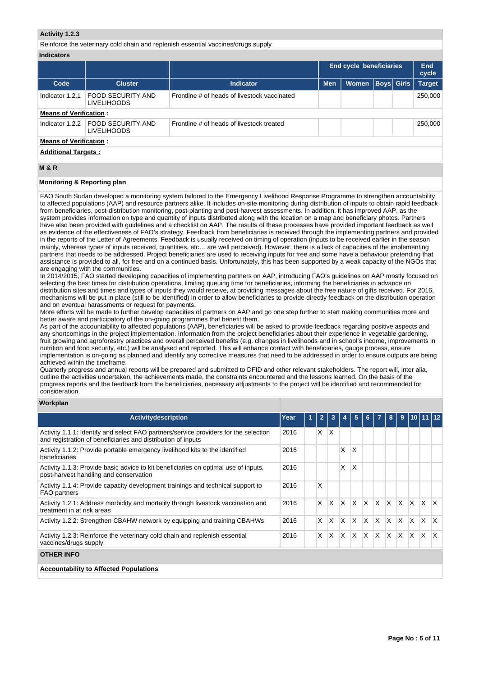## **Activity 1.2.3**

Reinforce the veterinary cold chain and replenish essential vaccines/drugs supply

| <b>Indicators</b> |
|-------------------|
|-------------------|

|                               |                                                           |                                              | End cycle beneficiaries |              |                   |  | End<br>cycle  |  |  |  |  |
|-------------------------------|-----------------------------------------------------------|----------------------------------------------|-------------------------|--------------|-------------------|--|---------------|--|--|--|--|
| Code                          | <b>Cluster</b>                                            | <b>Indicator</b>                             | <b>Men</b>              | <b>Women</b> | <b>Boys Girls</b> |  | <b>Target</b> |  |  |  |  |
| Indicator 1.2.1               | FOOD SECURITY AND<br><b>LIVELIHOODS</b>                   | Frontline # of heads of livestock vaccinated |                         |              |                   |  | 250,000       |  |  |  |  |
| <b>Means of Verification:</b> |                                                           |                                              |                         |              |                   |  |               |  |  |  |  |
|                               | Indicator 1.2.2   FOOD SECURITY AND<br><b>LIVELIHOODS</b> | Frontline # of heads of livestock treated    |                         |              |                   |  | 250,000       |  |  |  |  |
| <b>Means of Verification:</b> |                                                           |                                              |                         |              |                   |  |               |  |  |  |  |
|                               | <b>Additional Targets:</b>                                |                                              |                         |              |                   |  |               |  |  |  |  |

# **M & R**

# **Monitoring & Reporting plan**

FAO South Sudan developed a monitoring system tailored to the Emergency Livelihood Response Programme to strengthen accountability to affected populations (AAP) and resource partners alike. It includes on-site monitoring during distribution of inputs to obtain rapid feedback from beneficiaries, post-distribution monitoring, post-planting and post-harvest assessments. In addition, it has improved AAP, as the system provides information on type and quantity of inputs distributed along with the location on a map and beneficiary photos. Partners have also been provided with guidelines and a checklist on AAP. The results of these processes have provided important feedback as well as evidence of the effectiveness of FAO's strategy. Feedback from beneficiaries is received through the implementing partners and provided in the reports of the Letter of Agreements. Feedback is usually received on timing of operation (inputs to be received earlier in the season mainly, whereas types of inputs received, quantities, etc… are well perceived). However, there is a lack of capacities of the implementing partners that needs to be addressed. Project beneficiaries are used to receiving inputs for free and some have a behaviour pretending that assistance is provided to all, for free and on a continued basis. Unfortunately, this has been supported by a weak capacity of the NGOs that are engaging with the communities.

In 2014/2015, FAO started developing capacities of implementing partners on AAP, introducing FAO's guidelines on AAP mostly focused on selecting the best times for distribution operations, limiting queuing time for beneficiaries, informing the beneficiaries in advance on distribution sites and times and types of inputs they would receive, at providing messages about the free nature of gifts received. For 2016, mechanisms will be put in place (still to be identified) in order to allow beneficiaries to provide directly feedback on the distribution operation and on eventual harassments or request for payments.

More efforts will be made to further develop capacities of partners on AAP and go one step further to start making communities more and better aware and participatory of the on-going programmes that benefit them.

As part of the accountability to affected populations (AAP), beneficiaries will be asked to provide feedback regarding positive aspects and any shortcomings in the project implementation. Information from the project beneficiaries about their experience in vegetable gardening, fruit growing and agroforestry practices and overall perceived benefits (e.g. changes in livelihoods and in school's income, improvements in nutrition and food security, etc.) will be analysed and reported. This will enhance contact with beneficiaries, gauge process, ensure implementation is on-going as planned and identify any corrective measures that need to be addressed in order to ensure outputs are being achieved within the timeframe.

Quarterly progress and annual reports will be prepared and submitted to DFID and other relevant stakeholders. The report will, inter alia, outline the activities undertaken, the achievements made, the constraints encountered and the lessons learned. On the basis of the progress reports and the feedback from the beneficiaries, necessary adjustments to the project will be identified and recommended for consideration.

### **Workplan**

| <b>Activity description</b>                                                                                                                          | Year | 1 | $\overline{2}$ | 3        |     | 5   | 6        | 7            | 8   | 9            |          | 1011112 |              |
|------------------------------------------------------------------------------------------------------------------------------------------------------|------|---|----------------|----------|-----|-----|----------|--------------|-----|--------------|----------|---------|--------------|
| Activity 1.1.1: Identify and select FAO partners/service providers for the selection<br>and registration of beneficiaries and distribution of inputs | 2016 |   | X.             | X        |     |     |          |              |     |              |          |         |              |
| Activity 1.1.2: Provide portable emergency livelihood kits to the identified<br>beneficiaries                                                        | 2016 |   |                |          | X   | X   |          |              |     |              |          |         |              |
| Activity 1.1.3: Provide basic advice to kit beneficiaries on optimal use of inputs,<br>post-harvest handling and conservation                        | 2016 |   |                |          | X   | X   |          |              |     |              |          |         |              |
| Activity 1.1.4: Provide capacity development trainings and technical support to<br><b>FAO</b> partners                                               | 2016 |   | X              |          |     |     |          |              |     |              |          |         |              |
| Activity 1.2.1: Address morbidity and mortality through livestock vaccination and<br>treatment in at risk areas                                      | 2016 |   | X.             | X        | ΙX. | ΙX. | $\times$ | $\mathsf{x}$ | ΙX. | $\mathsf{X}$ | <b>X</b> | ΙX.     | $\mathsf{X}$ |
| Activity 1.2.2: Strengthen CBAHW network by equipping and training CBAHWs                                                                            | 2016 |   | X.             | X        | X.  | X.  | X        | X            | X   | ΙX.          | X.       | IX.     | ΙX           |
| Activity 1.2.3: Reinforce the veterinary cold chain and replenish essential<br>vaccines/drugs supply                                                 | 2016 |   | X              | $\times$ | X.  | ΙX. | $\times$ | IX.          | ΙX. | $\mathsf{X}$ | X.       | IX.     | X            |
| <b>OTHER INFO</b>                                                                                                                                    |      |   |                |          |     |     |          |              |     |              |          |         |              |
| <b>Accountability to Affected Populations</b>                                                                                                        |      |   |                |          |     |     |          |              |     |              |          |         |              |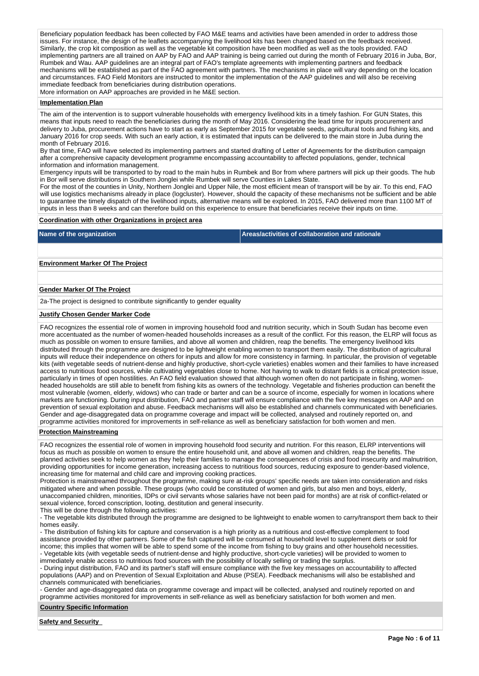Beneficiary population feedback has been collected by FAO M&E teams and activities have been amended in order to address those issues. For instance, the design of he leaflets accompanying the livelihood kits has been changed based on the feedback received. Similarly, the crop kit composition as well as the vegetable kit composition have been modified as well as the tools provided. FAO implementing partners are all trained on AAP by FAO and AAP training is being carried out during the month of February 2016 in Juba, Bor, Rumbek and Wau. AAP guidelines are an integral part of FAO's template agreements with implementing partners and feedback mechanisms will be established as part of the FAO agreement with partners. The mechanisms in place will vary depending on the location and circumstances. FAO Field Monitors are instructed to monitor the implementation of the AAP guidelines and will also be receiving immediate feedback from beneficiaries during distribution operations. More information on AAP approaches are provided in he M&E section.

# **Implementation Plan**

The aim of the intervention is to support vulnerable households with emergency livelihood kits in a timely fashion. For GUN States, this means that inputs need to reach the beneficiaries during the month of May 2016. Considering the lead time for inputs procurement and delivery to Juba, procurement actions have to start as early as September 2015 for vegetable seeds, agricultural tools and fishing kits, and January 2016 for crop seeds. With such an early action, it is estimated that inputs can be delivered to the main store in Juba during the month of February 2016.

By that time, FAO will have selected its implementing partners and started drafting of Letter of Agreements for the distribution campaign after a comprehensive capacity development programme encompassing accountability to affected populations, gender, technical information and information management.

Emergency inputs will be transported to by road to the main hubs in Rumbek and Bor from where partners will pick up their goods. The hub in Bor will serve distributions in Southern Jonglei while Rumbek will serve Counties in Lakes State.

For the most of the counties in Unity, Northern Jonglei and Upper Nile, the most efficient mean of transport will be by air. To this end, FAO will use logistics mechanisms already in place (logcluster). However, should the capacity of these mechanisms not be sufficient and be able to guarantee the timely dispatch of the livelihood inputs, alternative means will be explored. In 2015, FAO delivered more than 1100 MT of inputs in less than 8 weeks and can therefore build on this experience to ensure that beneficiaries receive their inputs on time.

## **Coordination with other Organizations in project area**

**Name of the organization Areas/activities of collaboration and rationale** 

**Environment Marker Of The Project**

## **Gender Marker Of The Project**

2a-The project is designed to contribute significantly to gender equality

### **Justify Chosen Gender Marker Code**

FAO recognizes the essential role of women in improving household food and nutrition security, which in South Sudan has become even more accentuated as the number of women-headed households increases as a result of the conflict. For this reason, the ELRP will focus as much as possible on women to ensure families, and above all women and children, reap the benefits. The emergency livelihood kits distributed through the programme are designed to be lightweight enabling women to transport them easily. The distribution of agricultural inputs will reduce their independence on others for inputs and allow for more consistency in farming. In particular, the provision of vegetable kits (with vegetable seeds of nutrient-dense and highly productive, short-cycle varieties) enables women and their families to have increased access to nutritious food sources, while cultivating vegetables close to home. Not having to walk to distant fields is a critical protection issue, particularly in times of open hostilities. An FAO field evaluation showed that although women often do not participate in fishing, womenheaded households are still able to benefit from fishing kits as owners of the technology. Vegetable and fisheries production can benefit the most vulnerable (women, elderly, widows) who can trade or barter and can be a source of income, especially for women in locations where markets are functioning. During input distribution, FAO and partner staff will ensure compliance with the five key messages on AAP and on prevention of sexual exploitation and abuse. Feedback mechanisms will also be established and channels communicated with beneficiaries. Gender and age-disaggregated data on programme coverage and impact will be collected, analysed and routinely reported on, and programme activities monitored for improvements in self-reliance as well as beneficiary satisfaction for both women and men.

### **Protection Mainstreaming**

FAO recognizes the essential role of women in improving household food security and nutrition. For this reason, ELRP interventions will focus as much as possible on women to ensure the entire household unit, and above all women and children, reap the benefits. The planned activities seek to help women as they help their families to manage the consequences of crisis and food insecurity and malnutrition, providing opportunities for income generation, increasing access to nutritious food sources, reducing exposure to gender-based violence, increasing time for maternal and child care and improving cooking practices.

Protection is mainstreamed throughout the programme, making sure at-risk groups' specific needs are taken into consideration and risks mitigated where and when possible. These groups (who could be constituted of women and girls, but also men and boys, elderly, unaccompanied children, minorities, IDPs or civil servants whose salaries have not been paid for months) are at risk of conflict-related or sexual violence, forced conscription, looting, destitution and general insecurity.

This will be done through the following activities:

- The vegetable kits distributed through the programme are designed to be lightweight to enable women to carry/transport them back to their homes easily.

- The distribution of fishing kits for capture and conservation is a high priority as a nutritious and cost-effective complement to food assistance provided by other partners. Some of the fish captured will be consumed at household level to supplement diets or sold for income; this implies that women will be able to spend some of the income from fishing to buy grains and other household necessities. - Vegetable kits (with vegetable seeds of nutrient-dense and highly productive, short-cycle varieties) will be provided to women to immediately enable access to nutritious food sources with the possibility of locally selling or trading the surplus.

- During input distribution, FAO and its partner's staff will ensure compliance with the five key messages on accountability to affected populations (AAP) and on Prevention of Sexual Exploitation and Abuse (PSEA). Feedback mechanisms will also be established and channels communicated with beneficiaries.

- Gender and age-disaggregated data on programme coverage and impact will be collected, analysed and routinely reported on and programme activities monitored for improvements in self-reliance as well as beneficiary satisfaction for both women and men.

### **Country Specific Information**

**Safety and Security**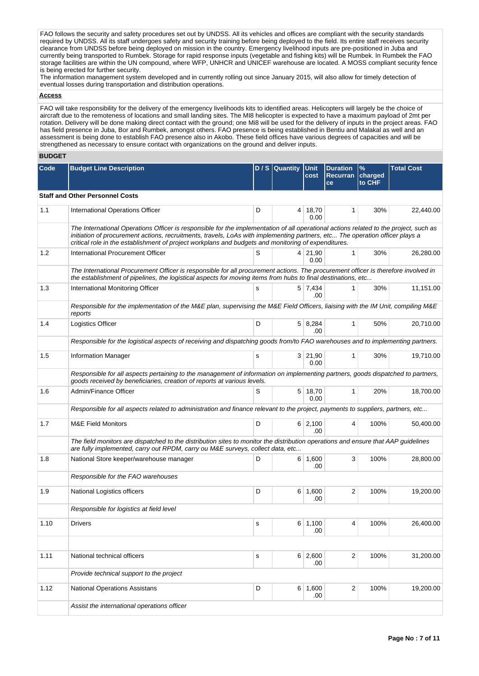FAO follows the security and safety procedures set out by UNDSS. All its vehicles and offices are compliant with the security standards required by UNDSS. All its staff undergoes safety and security training before being deployed to the field. Its entire staff receives security clearance from UNDSS before being deployed on mission in the country. Emergency livelihood inputs are pre-positioned in Juba and currently being transported to Rumbek. Storage for rapid response inputs (vegetable and fishing kits) will be Rumbek. In Rumbek the FAO storage facilities are within the UN compound, where WFP, UNHCR and UNICEF warehouse are located. A MOSS compliant security fence is being erected for further security.

The information management system developed and in currently rolling out since January 2015, will also allow for timely detection of eventual losses during transportation and distribution operations.

# **Access**

FAO will take responsibility for the delivery of the emergency livelihoods kits to identified areas. Helicopters will largely be the choice of aircraft due to the remoteness of locations and small landing sites. The MI8 helicopter is expected to have a maximum payload of 2mt per rotation. Delivery will be done making direct contact with the ground; one Mi8 will be used for the delivery of inputs in the project areas. FAO has field presence in Juba, Bor and Rumbek, amongst others. FAO presence is being established in Bentiu and Malakal as well and an assessment is being done to establish FAO presence also in Akobo. These field offices have various degrees of capacities and will be strengthened as necessary to ensure contact with organizations on the ground and deliver inputs.

# **BUDGET**

| Code | <b>Budget Line Description</b>                                                                                                                                                                                                                                                                                                                                               |           | D / S Quantity | <b>Unit</b><br>cost | <b>Duration</b><br><b>Recurran</b><br>ce | %<br>charged<br>to CHF | <b>Total Cost</b> |  |  |  |  |
|------|------------------------------------------------------------------------------------------------------------------------------------------------------------------------------------------------------------------------------------------------------------------------------------------------------------------------------------------------------------------------------|-----------|----------------|---------------------|------------------------------------------|------------------------|-------------------|--|--|--|--|
|      | <b>Staff and Other Personnel Costs</b>                                                                                                                                                                                                                                                                                                                                       |           |                |                     |                                          |                        |                   |  |  |  |  |
| 1.1  | International Operations Officer                                                                                                                                                                                                                                                                                                                                             | D         |                | 4 18,70<br>0.00     | 1                                        | 30%                    | 22,440.00         |  |  |  |  |
|      | The International Operations Officer is responsible for the implementation of all operational actions related to the project, such as<br>initiation of procurement actions, recruitments, travels, LoAs with implementing partners, etc The operation officer plays a<br>critical role in the establishment of project workplans and budgets and monitoring of expenditures. |           |                |                     |                                          |                        |                   |  |  |  |  |
| 1.2  | International Procurement Officer                                                                                                                                                                                                                                                                                                                                            | S         |                | 4 21,90<br>0.00     | 1                                        | 30%                    | 26,280.00         |  |  |  |  |
|      | The International Procurement Officer is responsible for all procurement actions. The procurement officer is therefore involved in<br>the establishment of pipelines, the logistical aspects for moving items from hubs to final destinations, etc                                                                                                                           |           |                |                     |                                          |                        |                   |  |  |  |  |
| 1.3  | International Monitoring Officer                                                                                                                                                                                                                                                                                                                                             | s         |                | 5 7,434<br>.00      | 1                                        | 30%                    | 11,151.00         |  |  |  |  |
|      | Responsible for the implementation of the M&E plan, supervising the M&E Field Officers, liaising with the IM Unit, compiling M&E<br>reports                                                                                                                                                                                                                                  |           |                |                     |                                          |                        |                   |  |  |  |  |
| 1.4  | Logistics Officer                                                                                                                                                                                                                                                                                                                                                            | D         |                | 5 8,284<br>.00      | 1                                        | 50%                    | 20,710.00         |  |  |  |  |
|      | Responsible for the logistical aspects of receiving and dispatching goods from/to FAO warehouses and to implementing partners.                                                                                                                                                                                                                                               |           |                |                     |                                          |                        |                   |  |  |  |  |
| 1.5  | <b>Information Manager</b>                                                                                                                                                                                                                                                                                                                                                   | s         |                | 3   21,90<br>0.00   | $\mathbf{1}$                             | 30%                    | 19,710.00         |  |  |  |  |
|      | Responsible for all aspects pertaining to the management of information on implementing partners, goods dispatched to partners,<br>goods received by beneficiaries, creation of reports at various levels.                                                                                                                                                                   |           |                |                     |                                          |                        |                   |  |  |  |  |
| 1.6  | Admin/Finance Officer                                                                                                                                                                                                                                                                                                                                                        | S         | 5 <sup>1</sup> | 18,70<br>0.00       | $\mathbf{1}$                             | 20%                    | 18,700.00         |  |  |  |  |
|      | Responsible for all aspects related to administration and finance relevant to the project, payments to suppliers, partners, etc                                                                                                                                                                                                                                              |           |                |                     |                                          |                        |                   |  |  |  |  |
| 1.7  | <b>M&amp;E Field Monitors</b>                                                                                                                                                                                                                                                                                                                                                | D         |                | 6 2,100<br>.00      | 4                                        | 100%                   | 50,400.00         |  |  |  |  |
|      | The field monitors are dispatched to the distribution sites to monitor the distribution operations and ensure that AAP guidelines<br>are fully implemented, carry out RPDM, carry ou M&E surveys, collect data, etc                                                                                                                                                          |           |                |                     |                                          |                        |                   |  |  |  |  |
| 1.8  | National Store keeper/warehouse manager                                                                                                                                                                                                                                                                                                                                      | D         |                | 6 1,600<br>.00      | 3                                        | 100%                   | 28,800.00         |  |  |  |  |
|      | Responsible for the FAO warehouses                                                                                                                                                                                                                                                                                                                                           |           |                |                     |                                          |                        |                   |  |  |  |  |
| 1.9  | National Logistics officers                                                                                                                                                                                                                                                                                                                                                  | D         |                | 6 1,600<br>.00      | $\overline{\mathbf{c}}$                  | 100%                   | 19,200.00         |  |  |  |  |
|      | Responsible for logistics at field level                                                                                                                                                                                                                                                                                                                                     |           |                |                     |                                          |                        |                   |  |  |  |  |
| 1.10 | Drivers                                                                                                                                                                                                                                                                                                                                                                      | s         |                | 6 1,100<br>.00      | 4                                        | 100%                   | 26,400.00         |  |  |  |  |
|      |                                                                                                                                                                                                                                                                                                                                                                              |           |                |                     |                                          |                        |                   |  |  |  |  |
| 1.11 | National technical officers                                                                                                                                                                                                                                                                                                                                                  | ${\tt S}$ |                | 6 2,600<br>.00      | $\overline{2}$                           | 100%                   | 31,200.00         |  |  |  |  |
|      | Provide technical support to the project                                                                                                                                                                                                                                                                                                                                     |           |                |                     |                                          |                        |                   |  |  |  |  |
| 1.12 | <b>National Operations Assistans</b>                                                                                                                                                                                                                                                                                                                                         | D         |                | 6 1,600<br>.00      | $\overline{2}$                           | 100%                   | 19,200.00         |  |  |  |  |
|      | Assist the international operations officer                                                                                                                                                                                                                                                                                                                                  |           |                |                     |                                          |                        |                   |  |  |  |  |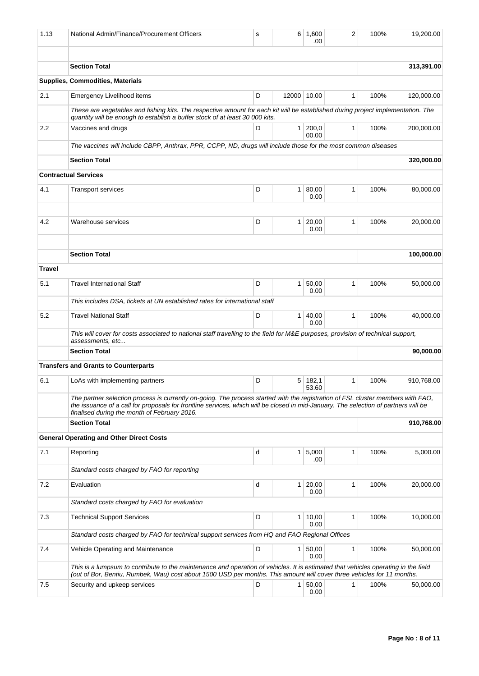| 1.13          | National Admin/Finance/Procurement Officers                                                                                                                                                                                                                                                                            | s | 6            | 1.600<br>.00   | 2            | 100% | 19.200.00  |  |  |  |  |
|---------------|------------------------------------------------------------------------------------------------------------------------------------------------------------------------------------------------------------------------------------------------------------------------------------------------------------------------|---|--------------|----------------|--------------|------|------------|--|--|--|--|
|               | <b>Section Total</b>                                                                                                                                                                                                                                                                                                   |   |              |                |              |      | 313,391.00 |  |  |  |  |
|               | <b>Supplies, Commodities, Materials</b>                                                                                                                                                                                                                                                                                |   |              |                |              |      |            |  |  |  |  |
| 2.1           | Emergency Livelihood items                                                                                                                                                                                                                                                                                             | D | 12000 10.00  |                | 1            | 100% | 120,000.00 |  |  |  |  |
|               | These are vegetables and fishing kits. The respective amount for each kit will be established during project implementation. The<br>quantity will be enough to establish a buffer stock of at least 30 000 kits.                                                                                                       |   |              |                |              |      |            |  |  |  |  |
| 2.2           | Vaccines and drugs                                                                                                                                                                                                                                                                                                     | D | $\mathbf{1}$ | 200,0<br>00.00 | 1            | 100% | 200,000.00 |  |  |  |  |
|               | The vaccines will include CBPP, Anthrax, PPR, CCPP, ND, drugs will include those for the most common diseases                                                                                                                                                                                                          |   |              |                |              |      |            |  |  |  |  |
|               | <b>Section Total</b>                                                                                                                                                                                                                                                                                                   |   |              |                |              |      | 320,000.00 |  |  |  |  |
|               | <b>Contractual Services</b>                                                                                                                                                                                                                                                                                            |   |              |                |              |      |            |  |  |  |  |
| 4.1           | <b>Transport services</b>                                                                                                                                                                                                                                                                                              | D | $\mathbf{1}$ | 80,00<br>0.00  | 1            | 100% | 80,000.00  |  |  |  |  |
|               |                                                                                                                                                                                                                                                                                                                        |   |              |                |              |      |            |  |  |  |  |
| 4.2           | Warehouse services                                                                                                                                                                                                                                                                                                     | D | $\mathbf{1}$ | 20,00<br>0.00  | $\mathbf{1}$ | 100% | 20,000.00  |  |  |  |  |
|               | <b>Section Total</b>                                                                                                                                                                                                                                                                                                   |   |              |                |              |      | 100,000.00 |  |  |  |  |
| <b>Travel</b> |                                                                                                                                                                                                                                                                                                                        |   |              |                |              |      |            |  |  |  |  |
| 5.1           | <b>Travel International Staff</b>                                                                                                                                                                                                                                                                                      | D | $\mathbf{1}$ | 50,00<br>0.00  | 1            | 100% | 50,000.00  |  |  |  |  |
|               | This includes DSA, tickets at UN established rates for international staff                                                                                                                                                                                                                                             |   |              |                |              |      |            |  |  |  |  |
| 5.2           | <b>Travel National Staff</b>                                                                                                                                                                                                                                                                                           | D | 1            | 40,00<br>0.00  | 1            | 100% | 40,000.00  |  |  |  |  |
|               | This will cover for costs associated to national staff travelling to the field for M&E purposes, provision of technical support,<br>assessments, etc                                                                                                                                                                   |   |              |                |              |      |            |  |  |  |  |
|               | <b>Section Total</b>                                                                                                                                                                                                                                                                                                   |   |              |                |              |      | 90,000.00  |  |  |  |  |
|               | <b>Transfers and Grants to Counterparts</b>                                                                                                                                                                                                                                                                            |   |              |                |              |      |            |  |  |  |  |
| 6.1           | LoAs with implementing partners                                                                                                                                                                                                                                                                                        | D | 5            | 182,1<br>53.60 | 1            | 100% | 910,768.00 |  |  |  |  |
|               | The partner selection process is currently on-going. The process started with the registration of FSL cluster members with FAO,<br>the issuance of a call for proposals for frontline services, which will be closed in mid-January. The selection of partners will be<br>finalised during the month of February 2016. |   |              |                |              |      |            |  |  |  |  |
|               | <b>Section Total</b>                                                                                                                                                                                                                                                                                                   |   |              |                |              |      | 910,768.00 |  |  |  |  |
|               | <b>General Operating and Other Direct Costs</b>                                                                                                                                                                                                                                                                        |   |              |                |              |      |            |  |  |  |  |
| 7.1           | Reporting                                                                                                                                                                                                                                                                                                              | d | 1            | 5,000<br>.00   | 1            | 100% | 5,000.00   |  |  |  |  |
|               | Standard costs charged by FAO for reporting                                                                                                                                                                                                                                                                            |   |              |                |              |      |            |  |  |  |  |
| 7.2           | Evaluation                                                                                                                                                                                                                                                                                                             | d | $\mathbf{1}$ | 20,00<br>0.00  | 1            | 100% | 20,000.00  |  |  |  |  |
|               | Standard costs charged by FAO for evaluation                                                                                                                                                                                                                                                                           |   |              |                |              |      |            |  |  |  |  |
| 7.3           | <b>Technical Support Services</b>                                                                                                                                                                                                                                                                                      | D | 1            | 10,00<br>0.00  | 1            | 100% | 10,000.00  |  |  |  |  |
|               | Standard costs charged by FAO for technical support services from HQ and FAO Regional Offices                                                                                                                                                                                                                          |   |              |                |              |      |            |  |  |  |  |
| 7.4           | Vehicle Operating and Maintenance                                                                                                                                                                                                                                                                                      | D | 1            | 50,00<br>0.00  | $\mathbf{1}$ | 100% | 50,000.00  |  |  |  |  |
|               | This is a lumpsum to contribute to the maintenance and operation of vehicles. It is estimated that vehicles operating in the field<br>(out of Bor, Bentiu, Rumbek, Wau) cost about 1500 USD per months. This amount will cover three vehicles for 11 months.                                                           |   |              |                |              |      |            |  |  |  |  |
| 7.5           | Security and upkeep services                                                                                                                                                                                                                                                                                           | D | $\mathbf{1}$ | 50,00<br>0.00  | 1            | 100% | 50,000.00  |  |  |  |  |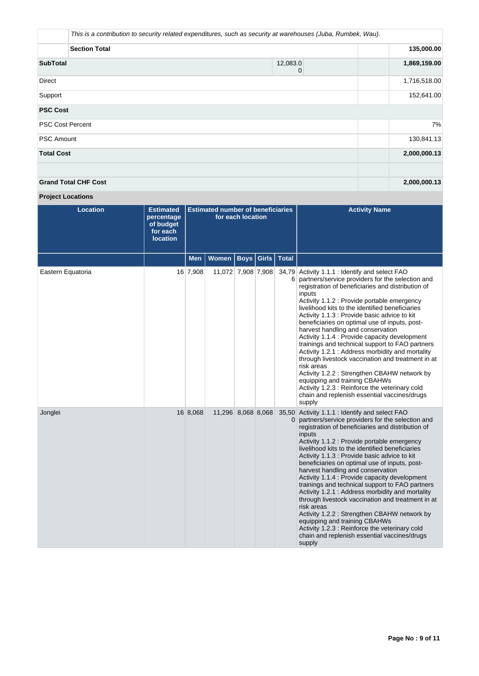|                             | This is a contribution to security related expenditures, such as security at warehouses (Juba, Rumbek, Wau). |              |  |              |  |  |  |  |
|-----------------------------|--------------------------------------------------------------------------------------------------------------|--------------|--|--------------|--|--|--|--|
|                             | <b>Section Total</b>                                                                                         | 135,000.00   |  |              |  |  |  |  |
| <b>SubTotal</b>             | 1,869,159.00                                                                                                 |              |  |              |  |  |  |  |
| Direct                      |                                                                                                              | 1,716,518.00 |  |              |  |  |  |  |
| Support                     | 152,641.00                                                                                                   |              |  |              |  |  |  |  |
| <b>PSC Cost</b>             |                                                                                                              |              |  |              |  |  |  |  |
| <b>PSC Cost Percent</b>     |                                                                                                              |              |  | 7%           |  |  |  |  |
| <b>PSC Amount</b>           |                                                                                                              |              |  | 130,841.13   |  |  |  |  |
| <b>Total Cost</b>           |                                                                                                              |              |  | 2,000,000.13 |  |  |  |  |
| <b>Grand Total CHF Cost</b> |                                                                                                              |              |  | 2,000,000.13 |  |  |  |  |

# **Project Locations**

| <b>Location</b>   | <b>Estimated</b><br>percentage<br>of budget<br>for each<br><b>location</b> | <b>Estimated number of beneficiaries</b><br>for each location |                    |             |       |              | <b>Activity Name</b>                                                                                                                                                                                                                                                                                                                                                                                                                                                                                                                                                                                                                                                                                                                                                                                                             |
|-------------------|----------------------------------------------------------------------------|---------------------------------------------------------------|--------------------|-------------|-------|--------------|----------------------------------------------------------------------------------------------------------------------------------------------------------------------------------------------------------------------------------------------------------------------------------------------------------------------------------------------------------------------------------------------------------------------------------------------------------------------------------------------------------------------------------------------------------------------------------------------------------------------------------------------------------------------------------------------------------------------------------------------------------------------------------------------------------------------------------|
|                   |                                                                            | Men                                                           | Women              | <b>Boys</b> | Girls | <b>Total</b> |                                                                                                                                                                                                                                                                                                                                                                                                                                                                                                                                                                                                                                                                                                                                                                                                                                  |
| Eastern Equatoria |                                                                            | 16 7,908                                                      | 11,072 7,908 7,908 |             |       | 6            | 34,79 Activity 1.1.1 : Identify and select FAO<br>partners/service providers for the selection and<br>registration of beneficiaries and distribution of<br>inputs<br>Activity 1.1.2 : Provide portable emergency<br>livelihood kits to the identified beneficiaries<br>Activity 1.1.3 : Provide basic advice to kit<br>beneficiaries on optimal use of inputs, post-<br>harvest handling and conservation<br>Activity 1.1.4 : Provide capacity development<br>trainings and technical support to FAO partners<br>Activity 1.2.1: Address morbidity and mortality<br>through livestock vaccination and treatment in at<br>risk areas<br>Activity 1.2.2: Strengthen CBAHW network by<br>equipping and training CBAHWs<br>Activity 1.2.3 : Reinforce the veterinary cold<br>chain and replenish essential vaccines/drugs<br>supply  |
| Jonglei           |                                                                            | 16 8,068                                                      | 11,296 8,068 8,068 |             |       |              | 35,50 Activity 1.1.1 : Identify and select FAO<br>partners/service providers for the selection and<br>registration of beneficiaries and distribution of<br>inputs<br>Activity 1.1.2 : Provide portable emergency<br>livelihood kits to the identified beneficiaries<br>Activity 1.1.3 : Provide basic advice to kit<br>beneficiaries on optimal use of inputs, post-<br>harvest handling and conservation<br>Activity 1.1.4 : Provide capacity development<br>trainings and technical support to FAO partners<br>Activity 1.2.1: Address morbidity and mortality<br>through livestock vaccination and treatment in at<br>risk areas<br>Activity 1.2.2 : Strengthen CBAHW network by<br>equipping and training CBAHWs<br>Activity 1.2.3 : Reinforce the veterinary cold<br>chain and replenish essential vaccines/drugs<br>supply |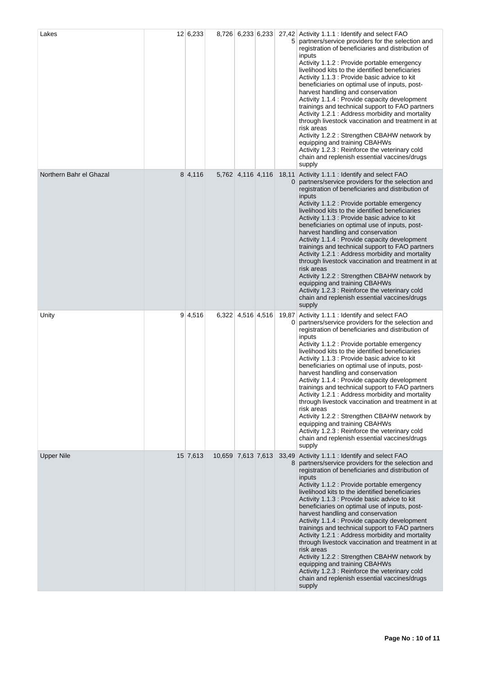| Lakes                   | 12 6,233 |                    | 8,726 6,233 6,233 |            | 27,42 Activity 1.1.1 : Identify and select FAO<br>5 partners/service providers for the selection and<br>registration of beneficiaries and distribution of<br>inputs<br>Activity 1.1.2 : Provide portable emergency<br>livelihood kits to the identified beneficiaries<br>Activity 1.1.3 : Provide basic advice to kit<br>beneficiaries on optimal use of inputs, post-<br>harvest handling and conservation<br>Activity 1.1.4 : Provide capacity development<br>trainings and technical support to FAO partners<br>Activity 1.2.1: Address morbidity and mortality<br>through livestock vaccination and treatment in at<br>risk areas<br>Activity 1.2.2: Strengthen CBAHW network by<br>equipping and training CBAHWs<br>Activity 1.2.3 : Reinforce the veterinary cold<br>chain and replenish essential vaccines/drugs<br>supply  |
|-------------------------|----------|--------------------|-------------------|------------|------------------------------------------------------------------------------------------------------------------------------------------------------------------------------------------------------------------------------------------------------------------------------------------------------------------------------------------------------------------------------------------------------------------------------------------------------------------------------------------------------------------------------------------------------------------------------------------------------------------------------------------------------------------------------------------------------------------------------------------------------------------------------------------------------------------------------------|
| Northern Bahr el Ghazal | 8 4,116  |                    | 5,762 4,116 4,116 | 18,11      | Activity 1.1.1 : Identify and select FAO<br>partners/service providers for the selection and<br>registration of beneficiaries and distribution of<br>inputs<br>Activity 1.1.2 : Provide portable emergency<br>livelihood kits to the identified beneficiaries<br>Activity 1.1.3 : Provide basic advice to kit<br>beneficiaries on optimal use of inputs, post-<br>harvest handling and conservation<br>Activity 1.1.4 : Provide capacity development<br>trainings and technical support to FAO partners<br>Activity 1.2.1: Address morbidity and mortality<br>through livestock vaccination and treatment in at<br>risk areas<br>Activity 1.2.2 : Strengthen CBAHW network by<br>equipping and training CBAHWs<br>Activity 1.2.3 : Reinforce the veterinary cold<br>chain and replenish essential vaccines/drugs<br>supply         |
| Unity                   | 9 4,516  |                    | 6,322 4,516 4,516 | 19,87<br>0 | Activity 1.1.1 : Identify and select FAO<br>partners/service providers for the selection and<br>registration of beneficiaries and distribution of<br>inputs<br>Activity 1.1.2 : Provide portable emergency<br>livelihood kits to the identified beneficiaries<br>Activity 1.1.3 : Provide basic advice to kit<br>beneficiaries on optimal use of inputs, post-<br>harvest handling and conservation<br>Activity 1.1.4 : Provide capacity development<br>trainings and technical support to FAO partners<br>Activity 1.2.1: Address morbidity and mortality<br>through livestock vaccination and treatment in at<br>risk areas<br>Activity 1.2.2: Strengthen CBAHW network by<br>equipping and training CBAHWs<br>Activity 1.2.3 : Reinforce the veterinary cold<br>chain and replenish essential vaccines/drugs<br>supply          |
| <b>Upper Nile</b>       | 15 7,613 | 10,659 7,613 7,613 |                   |            | 33,49 Activity 1.1.1 : Identify and select FAO<br>8 partners/service providers for the selection and<br>registration of beneficiaries and distribution of<br>inputs<br>Activity 1.1.2 : Provide portable emergency<br>livelihood kits to the identified beneficiaries<br>Activity 1.1.3 : Provide basic advice to kit<br>beneficiaries on optimal use of inputs, post-<br>harvest handling and conservation<br>Activity 1.1.4 : Provide capacity development<br>trainings and technical support to FAO partners<br>Activity 1.2.1: Address morbidity and mortality<br>through livestock vaccination and treatment in at<br>risk areas<br>Activity 1.2.2 : Strengthen CBAHW network by<br>equipping and training CBAHWs<br>Activity 1.2.3 : Reinforce the veterinary cold<br>chain and replenish essential vaccines/drugs<br>supply |